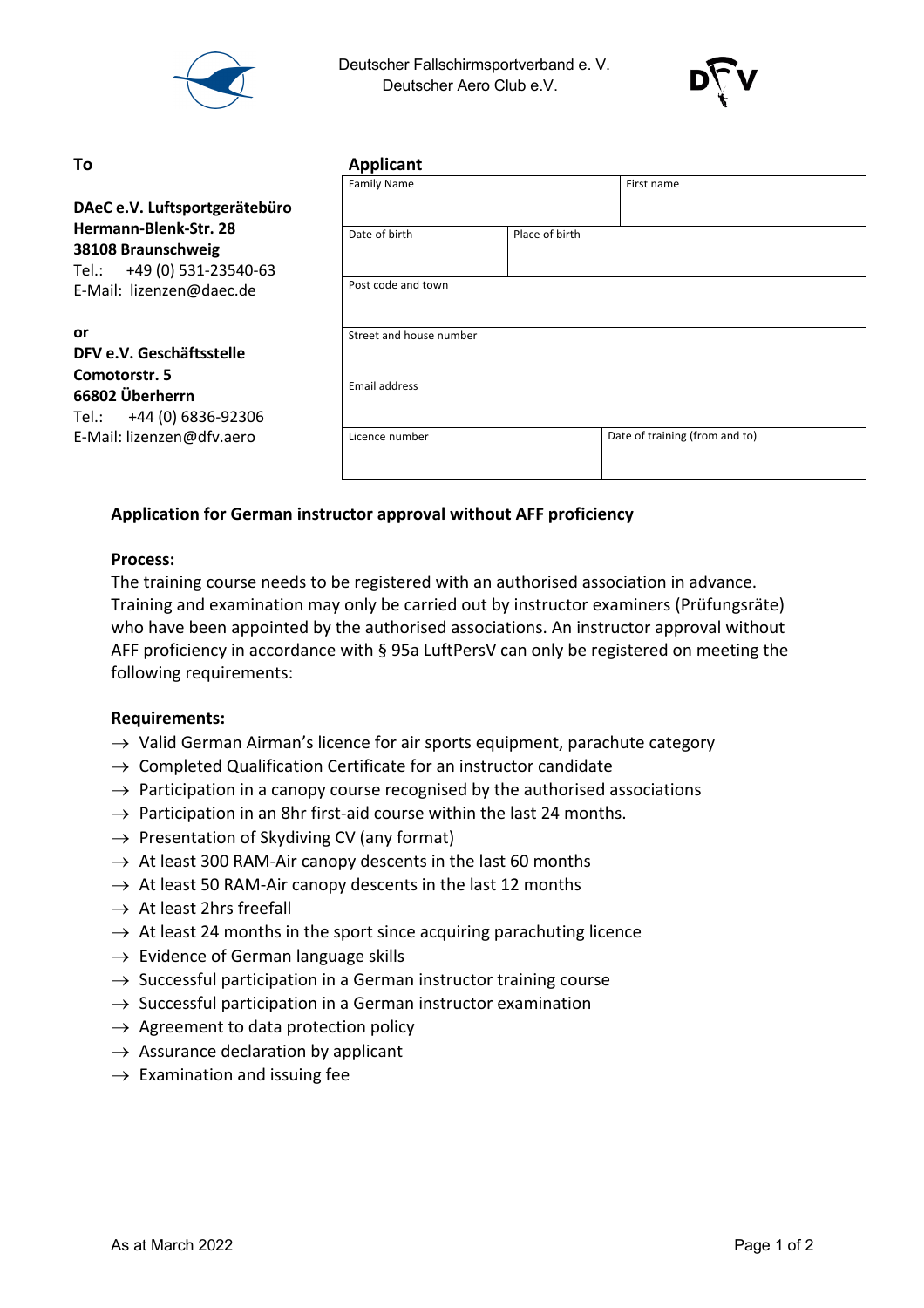

 Deutscher Fallschirmsportverband e. V. Deutscher Aero Club e.V.



#### **To Applicant**

|                                                                                                       | <b>Family Name</b>      |                | First name                     |
|-------------------------------------------------------------------------------------------------------|-------------------------|----------------|--------------------------------|
| DAeC e.V. Luftsportgerätebüro                                                                         |                         |                |                                |
| Hermann-Blenk-Str. 28<br>38108 Braunschweig<br>Tel.: +49 (0) 531-23540-63<br>E-Mail: lizenzen@daec.de | Date of birth           | Place of birth |                                |
|                                                                                                       | Post code and town      |                |                                |
| <b>or</b><br>DFV e.V. Geschäftsstelle<br>Comotorstr. 5                                                | Street and house number |                |                                |
| 66802 Überherrn<br>+44 (0) 6836-92306<br>Tel.:                                                        | Email address           |                |                                |
| E-Mail: lizenzen@dfv.aero                                                                             | Licence number          |                | Date of training (from and to) |

# **Application for German instructor approval without AFF proficiency**

## **Process:**

The training course needs to be registered with an authorised association in advance. Training and examination may only be carried out by instructor examiners (Prüfungsräte) who have been appointed by the authorised associations. An instructor approval without AFF proficiency in accordance with § 95a LuftPersV can only be registered on meeting the following requirements:

### **Requirements:**

- $\rightarrow$  Valid German Airman's licence for air sports equipment, parachute category
- $\rightarrow$  Completed Qualification Certificate for an instructor candidate
- $\rightarrow$  Participation in a canopy course recognised by the authorised associations
- $\rightarrow$  Participation in an 8hr first-aid course within the last 24 months.
- $\rightarrow$  Presentation of Skydiving CV (any format)
- $\rightarrow$  At least 300 RAM-Air canopy descents in the last 60 months
- $\rightarrow$  At least 50 RAM-Air canopy descents in the last 12 months
- $\rightarrow$  At least 2hrs freefall
- $\rightarrow$  At least 24 months in the sport since acquiring parachuting licence
- $\rightarrow$  Evidence of German language skills
- $\rightarrow$  Successful participation in a German instructor training course
- $\rightarrow$  Successful participation in a German instructor examination
- $\rightarrow$  Agreement to data protection policy
- $\rightarrow$  Assurance declaration by applicant
- $\rightarrow$  Examination and issuing fee